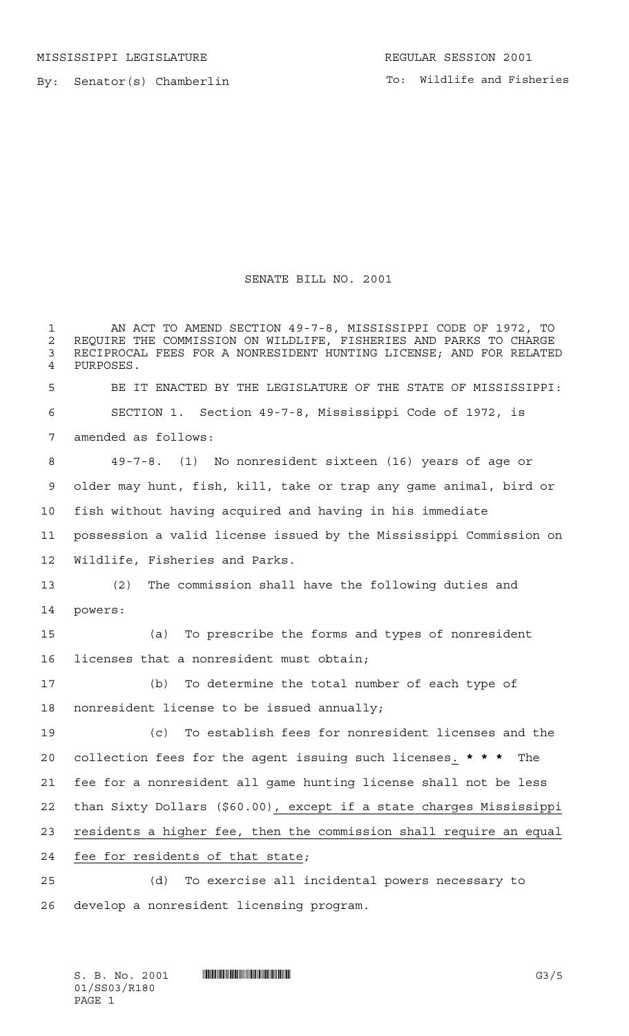By: Senator(s) Chamberlin

## SENATE BILL NO. 2001

 AN ACT TO AMEND SECTION 49-7-8, MISSISSIPPI CODE OF 1972, TO 2 REQUIRE THE COMMISSION ON WILDLIFE, FISHERIES AND PARKS TO CHARGE<br>3 RECIPROCAL FEES FOR A NONRESIDENT HUNTING LICENSE: AND FOR RELATED RECIPROCAL FEES FOR A NONRESIDENT HUNTING LICENSE; AND FOR RELATED PURPOSES. BE IT ENACTED BY THE LEGISLATURE OF THE STATE OF MISSISSIPPI: SECTION 1. Section 49-7-8, Mississippi Code of 1972, is amended as follows: 49-7-8. (1) No nonresident sixteen (16) years of age or older may hunt, fish, kill, take or trap any game animal, bird or fish without having acquired and having in his immediate possession a valid license issued by the Mississippi Commission on Wildlife, Fisheries and Parks. (2) The commission shall have the following duties and powers: (a) To prescribe the forms and types of nonresident licenses that a nonresident must obtain; (b) To determine the total number of each type of nonresident license to be issued annually; (c) To establish fees for nonresident licenses and the collection fees for the agent issuing such licenses. **\*\*\*** The fee for a nonresident all game hunting license shall not be less than Sixty Dollars (\$60.00), except if a state charges Mississippi residents a higher fee, then the commission shall require an equal fee for residents of that state; (d) To exercise all incidental powers necessary to develop a nonresident licensing program.